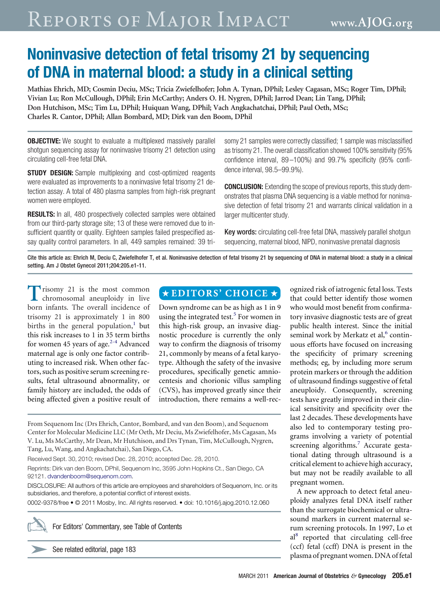# Reports of Major Impact **www.AJOG.org**

## **Noninvasive detection of fetal trisomy 21 by sequencing of DNA in maternal blood: a study in a clinical setting**

**Mathias Ehrich, MD; Cosmin Deciu, MSc; Tricia Zwiefelhofer; John A. Tynan, DPhil; Lesley Cagasan, MSc; Roger Tim, DPhil; Vivian Lu; Ron McCullough, DPhil; Erin McCarthy; Anders O. H. Nygren, DPhil; Jarrod Dean; Lin Tang, DPhil; Don Hutchison, MSc; Tim Lu, DPhil; Huiquan Wang, DPhil; Vach Angkachatchai, DPhil; Paul Oeth, MSc; Charles R. Cantor, DPhil; Allan Bombard, MD; Dirk van den Boom, DPhil**

**OBJECTIVE:** We sought to evaluate a multiplexed massively parallel shotgun sequencing assay for noninvasive trisomy 21 detection using circulating cell-free fetal DNA.

**STUDY DESIGN:** Sample multiplexing and cost-optimized reagents were evaluated as improvements to a noninvasive fetal trisomy 21 detection assay. A total of 480 plasma samples from high-risk pregnant women were employed.

**RESULTS:** In all, 480 prospectively collected samples were obtained from our third-party storage site; 13 of these were removed due to insufficient quantity or quality. Eighteen samples failed prespecified assay quality control parameters. In all, 449 samples remained: 39 trisomy 21 samples were correctly classified; 1 sample was misclassified as trisomy 21. The overall classification showed 100% sensitivity (95% confidence interval, 89 –100%) and 99.7% specificity (95% confidence interval, 98.5–99.9%).

**CONCLUSION:** Extending the scope of previous reports, this study demonstrates that plasma DNA sequencing is a viable method for noninvasive detection of fetal trisomy 21 and warrants clinical validation in a larger multicenter study.

Key words: circulating cell-free fetal DNA, massively parallel shotgun sequencing, maternal blood, NIPD, noninvasive prenatal diagnosis

Cite this article as: Ehrich M, Deciu C, Zwiefelhofer T, et al. Noninvasive detection of fetal trisomy 21 by sequencing of DNA in maternal blood: a study in a clinical setting. Am J Obstet Gynecol 2011;204:205.e1-11.

**T**risomy 21 is the most common<br>chromosomal aneuploidy in live born infants. The overall incidence of trisomy 21 is approximately 1 in 800 births in the general population, $\frac{1}{1}$  $\frac{1}{1}$  $\frac{1}{1}$  but this risk increases to 1 in 35 term births for women 45 years of age. $2-4$  Advanced maternal age is only one factor contributing to increased risk. When other factors, such as positive serum screening results, fetal ultrasound abnormality, or family history are included, the odds of being affected given a positive result of

### $\star$ EDITORS' CHOICE  $\star$

Down syndrome can be as high as 1 in 9 using the integrated test.<sup>[5](#page-9-0)</sup> For women in this high-risk group, an invasive diagnostic procedure is currently the only way to confirm the diagnosis of trisomy 21, commonly by means of a fetal karyotype. Although the safety of the invasive procedures, specifically genetic amniocentesis and chorionic villus sampling (CVS), has improved greatly since their introduction, there remains a well-rec-

From Sequenom Inc (Drs Ehrich, Cantor, Bombard, and van den Boom), and Sequenom Center for Molecular Medicine LLC (Mr Oeth, Mr Deciu, Ms Zwiefelhofer, Ms Cagasan, Ms V. Lu, Ms McCarthy, Mr Dean, Mr Hutchison, and Drs Tynan, Tim, McCullough, Nygren, Tang, Lu, Wang, and Angkachatchai), San Diego, CA.

Received Sept. 30, 2010; revised Dec. 28, 2010; accepted Dec. 28, 2010.

Reprints: Dirk van den Boom, DPhil, Sequenom Inc, 3595 John Hopkins Ct., San Diego, CA 92121. [dvandenboom@sequenom.com.](mailto:dvandenboom@sequenom.com)

DISCLOSURE: All authors of this article are employees and shareholders of Sequenom, Inc. or its subsidiaries, and therefore, a potential conflict of interest exists.

0002-9378/free • © 2011 Mosby, Inc. All rights reserved. • doi: 10.1016/j.ajog.2010.12.060



For Editors' Commentary, see Table of Contents

See related editorial, page 183

ognized risk of iatrogenic fetal loss. Tests that could better identify those women who would most benefit from confirmatory invasive diagnostic tests are of great public health interest. Since the initial seminal work by Merkatz et al,<sup>[6](#page-9-0)</sup> continuous efforts have focused on increasing the specificity of primary screening methods; eg, by including more serum protein markers or through the addition of ultrasound findings suggestive of fetal aneuploidy. Consequently, screening tests have greatly improved in their clinical sensitivity and specificity over the last 2 decades. These developments have also led to contemporary testing programs involving a variety of potential screening algorithms.<sup>[7](#page-9-0)</sup> Accurate gestational dating through ultrasound is a critical element to achieve high accuracy, but may not be readily available to all pregnant women.

A new approach to detect fetal aneuploidy analyzes fetal DNA itself rather than the surrogate biochemical or ultrasound markers in current maternal serum screening protocols. In 1997, Lo et al<sup>8</sup> reported that circulating cell-free (ccf) fetal (ccff) DNA is present in the plasma of pregnant women. DNA of fetal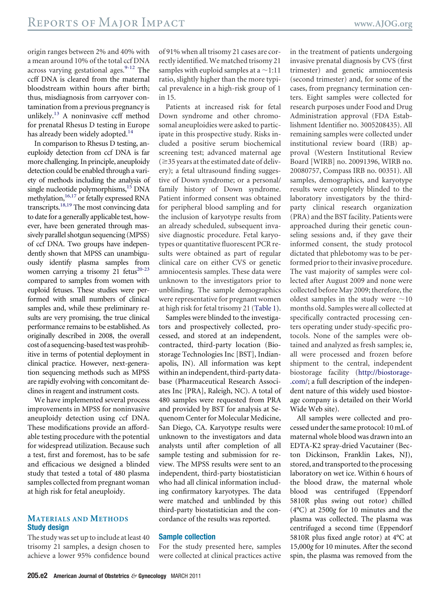origin ranges between 2% and 40% with a mean around 10% of the total ccf DNA across varying gestational ages. $9-12$  The ccff DNA is cleared from the maternal bloodstream within hours after birth; thus, misdiagnosis from carryover contamination from a previous pregnancy is unlikely.[13](#page-9-0) A noninvasive ccff method for prenatal Rhesus D testing in Europe has already been widely adopted.<sup>14</sup>

In comparison to Rhesus D testing, aneuploidy detection from ccf DNA is far more challenging. In principle, aneuploidy detection could be enabled through a variety of methods including the analysis of single nucleotide polymorphisms,<sup>15</sup> DNA methylation,<sup>16,17</sup> or fetally expressed RNA transcripts.<sup>18,19</sup> The most convincing data to date for a generally applicable test, however, have been generated through massively parallel shotgun sequencing (MPSS) of ccf DNA. Two groups have independently shown that MPSS can unambiguously identify plasma samples from women carrying a trisomy 21 fetus<sup>20-23</sup> compared to samples from women with euploid fetuses. These studies were performed with small numbers of clinical samples and, while these preliminary results are very promising, the true clinical performance remains to be established. As originally described in 2008, the overall cost of a sequencing-based testwas prohibitive in terms of potential deployment in clinical practice. However, next-generation sequencing methods such as MPSS are rapidly evolving with concomitant declines in reagent and instrument costs.

We have implemented several process improvements in MPSS for noninvasive aneuploidy detection using ccf DNA. These modifications provide an affordable testing procedure with the potential for widespread utilization. Because such a test, first and foremost, has to be safe and efficacious we designed a blinded study that tested a total of 480 plasma samples collected from pregnant woman at high risk for fetal aneuploidy.

#### **MATERIALS AND METHODS Study design**

The study was set up to include at least 40 trisomy 21 samples, a design chosen to achieve a lower 95% confidence bound

of 91% when all trisomy 21 cases are correctly identified. We matched trisomy 21 samples with euploid samples at a  $\sim$  1:11 ratio, slightly higher than the more typical prevalence in a high-risk group of 1 in 15.

Patients at increased risk for fetal Down syndrome and other chromosomal aneuploidies were asked to participate in this prospective study. Risks included a positive serum biochemical screening test; advanced maternal age  $(\geq$ 35 years at the estimated date of delivery); a fetal ultrasound finding suggestive of Down syndrome; or a personal/ family history of Down syndrome. Patient informed consent was obtained for peripheral blood sampling and for the inclusion of karyotype results from an already scheduled, subsequent invasive diagnostic procedure. Fetal karyotypes or quantitative fluorescent PCR results were obtained as part of regular clinical care on either CVS or genetic amniocentesis samples. These data were unknown to the investigators prior to unblinding. The sample demographics were representative for pregnant women at high risk for fetal trisomy 21 [\(Table 1\)](#page-5-0).

Samples were blinded to the investigators and prospectively collected, processed, and stored at an independent, contracted, third-party location (Biostorage Technologies Inc [BST], Indianapolis, IN). All information was kept within an independent, third-party database (Pharmaceutical Research Associates Inc [PRA], Raleigh, NC). A total of 480 samples were requested from PRA and provided by BST for analysis at Sequenom Center for Molecular Medicine, San Diego, CA. Karyotype results were unknown to the investigators and data analysts until after completion of all sample testing and submission for review. The MPSS results were sent to an independent, third-party biostatistician who had all clinical information including confirmatory karyotypes. The data were matched and unblinded by this third-party biostatistician and the concordance of the results was reported.

#### **Sample collection**

For the study presented here, samples were collected at clinical practices active

in the treatment of patients undergoing invasive prenatal diagnosis by CVS (first trimester) and genetic amniocentesis (second trimester) and, for some of the cases, from pregnancy termination centers. Eight samples were collected for research purposes under Food and Drug Administration approval (FDA Establishment Identifier no. 3005208435). All remaining samples were collected under institutional review board (IRB) approval (Western Institutional Review Board [WIRB] no. 20091396, WIRB no. 20080757, Compass IRB no. 00351). All samples, demographics, and karyotype results were completely blinded to the laboratory investigators by the thirdparty clinical research organization (PRA) and the BST facility. Patients were approached during their genetic counseling sessions and, if they gave their informed consent, the study protocol dictated that phlebotomy was to be performed prior to their invasive procedure. The vast majority of samples were collected after August 2009 and none were collected before May 2009; therefore, the oldest samples in the study were  $\sim$ 10 months old. Samples were all collected at specifically contracted processing centers operating under study-specific protocols. None of the samples were obtained and analyzed as fresh samples; ie, all were processed and frozen before shipment to the central, independent biostorage facility [\(http://biostorage-](http://biostorage.com/) [.com/;](http://biostorage.com/) a full description of the independent nature of this widely used biostorage company is detailed on their World Wide Web site).

All samples were collected and processed under the same protocol: 10 mL of maternal whole blood was drawn into an EDTA-K2 spray-dried Vacutainer (Becton Dickinson, Franklin Lakes, NJ), stored, and transported to the processing laboratory on wet ice. Within 6 hours of the blood draw, the maternal whole blood was centrifuged (Eppendorf 5810R plus swing out rotor) chilled (4°C) at 2500*g* for 10 minutes and the plasma was collected. The plasma was centrifuged a second time (Eppendorf 5810R plus fixed angle rotor) at 4°C at 15,000*g* for 10 minutes. After the second spin, the plasma was removed from the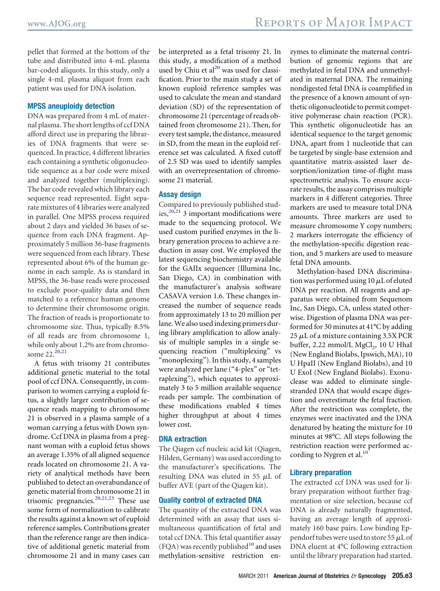pellet that formed at the bottom of the tube and distributed into 4-mL plasma bar-coded aliquots. In this study, only a single 4-mL plasma aliquot from each patient was used for DNA isolation.

#### **MPSS aneuploidy detection**

DNA was prepared from 4 mL of maternal plasma. The short lengths of ccf DNA afford direct use in preparing the libraries of DNA fragments that were sequenced. In practice, 4 different libraries each containing a synthetic oligonucleotide sequence as a bar code were mixed and analyzed together (multiplexing). The bar code revealed which library each sequence read represented. Eight separate mixtures of 4 libraries were analyzed in parallel. One MPSS process required about 2 days and yielded 36 bases of sequence from each DNA fragment. Approximately 5 million 36-base fragments were sequenced from each library. These represented about 6% of the human genome in each sample. As is standard in MPSS, the 36-base reads were processed to exclude poor-quality data and then matched to a reference human genome to determine their chromosome origin. The fraction of reads is proportionate to chromosome size. Thus, typically 8.5% of all reads are from chromosome 1, while only about 1.2% are from chromosome  $22.^{20,21}$ 

A fetus with trisomy 21 contributes additional genetic material to the total pool of ccf DNA. Consequently, in comparison to women carrying a euploid fetus, a slightly larger contribution of sequence reads mapping to chromosome 21 is observed in a plasma sample of a woman carrying a fetus with Down syndrome. Ccf DNA in plasma from a pregnant woman with a euploid fetus shows an average 1.35% of all aligned sequence reads located on chromosome 21. A variety of analytical methods have been published to detect an overabundance of genetic material from chromosome 21 in trisomic pregnancies.<sup>[20,21,23](#page-9-0)</sup> These use some form of normalization to calibrate the results against a known set of euploid reference samples. Contributions greater than the reference range are then indicative of additional genetic material from chromosome 21 and in many cases can

be interpreted as a fetal trisomy 21. In this study, a modification of a method used by Chiu et  $al^{20}$  was used for classification. Prior to the main study a set of known euploid reference samples was used to calculate the mean and standard deviation (SD) of the representation of chromosome 21 (percentage of reads obtained from chromosome 21). Then, for every test sample, the distance, measured in SD, from the mean in the euploid reference set was calculated. A fixed cutoff of 2.5 SD was used to identify samples with an overrepresentation of chromosome 21 material.

#### **Assay design**

Compared to previously published studies, $20,21$  3 important modifications were made to the sequencing protocol. We used custom purified enzymes in the library generation process to achieve a reduction in assay cost. We employed the latest sequencing biochemistry available for the GAIIx sequencer (Illumina Inc, San Diego, CA) in combination with the manufacturer's analysis software CASAVA version 1.6. These changes increased the number of sequence reads from approximately 13 to 20 million per lane.We also used indexing primers during library amplification to allow analysis of multiple samples in a single sequencing reaction ("multiplexing" vs "monoplexing"). In this study, 4 samples were analyzed per lane ("4-plex" or "tetraplexing"), which equates to approximately 3 to 5 million available sequence reads per sample. The combination of these modifications enabled 4 times higher throughput at about 4 times lower cost.

#### **DNA extraction**

The Qiagen ccf nucleic acid kit (Qiagen, Hilden, Germany) was used according to the manufacturer's specifications. The resulting DNA was eluted in 55  $\mu$ L of buffer AVE (part of the Qiagen kit).

#### **Quality control of extracted DNA**

The quantity of the extracted DNA was determined with an assay that uses simultaneous quantification of fetal and total ccf DNA. This fetal quantifier assay  $(FQA)$  was recently published<sup>[10](#page-9-0)</sup> and uses methylation-sensitive restriction en-

zymes to eliminate the maternal contribution of genomic regions that are methylated in fetal DNA and unmethylated in maternal DNA. The remaining nondigested fetal DNA is coamplified in the presence of a known amount of synthetic oligonucleotide to permit competitive polymerase chain reaction (PCR). This synthetic oligonucleotide has an identical sequence to the target genomic DNA, apart from 1 nucleotide that can be targeted by single-base extension and quantitative matrix-assisted laser desorption/ionization time-of-flight mass spectrometric analysis. To ensure accurate results, the assay comprises multiple markers in 4 different categories. Three markers are used to measure total DNA amounts. Three markers are used to measure chromosome Y copy numbers; 2 markers interrogate the efficiency of the methylation-specific digestion reaction, and 5 markers are used to measure fetal DNA amounts.

Methylation-based DNA discrimination was performed using 10  $\mu\rm L$  of eluted DNA per reaction. All reagents and apparatus were obtained from Sequenom Inc, San Diego, CA, unless stated otherwise. Digestion of plasma DNA was performed for 30 minutes at 41°C by adding 25  $\mu$ L of a mixture containing 3.5X PCR buffer, 2.22 mmol/L  $MgCl<sub>2</sub>$ , 10 U HhaI (New England Biolabs, Ipswich, MA), 10 U HpaII (New England Biolabs), and 10 U ExoI (New England Biolabs). Exonuclease was added to eliminate singlestranded DNA that would escape digestion and overestimate the fetal fraction. After the restriction was complete, the enzymes were inactivated and the DNA denatured by heating the mixture for 10 minutes at 98°C. All steps following the restriction reaction were performed ac-cording to Nygren et al.<sup>[10](#page-9-0)</sup>

#### **Library preparation**

The extracted ccf DNA was used for library preparation without further fragmentation or size selection, because ccf DNA is already naturally fragmented, having an average length of approximately 160 base pairs. Low binding Eppendorf tubes were used to store 55  $\mu\rm L$  of DNA eluent at 4°C following extraction until the library preparation had started.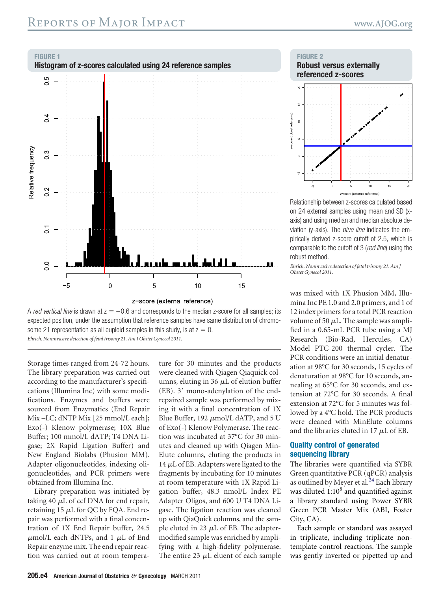<span id="page-3-0"></span>



Storage times ranged from 24-72 hours. The library preparation was carried out according to the manufacturer's specifications (Illumina Inc) with some modifications. Enzymes and buffers were sourced from Enzymatics (End Repair Mix –LC; dNTP Mix [25 mmol/L each]; Exo(-) Klenow polymerase; 10X Blue Buffer; 100 mmol/L dATP; T4 DNA Ligase; 2X Rapid Ligation Buffer) and New England Biolabs (Phusion MM). Adapter oligonucleotides, indexing oligonucleotides, and PCR primers were obtained from Illumina Inc.

Library preparation was initiated by taking 40  $\mu$ L of ccf DNA for end repair, retaining 15  $\mu$ L for QC by FQA. End repair was performed with a final concentration of 1X End Repair buffer, 24.5  $\mu$ mol/L each dNTPs, and 1  $\mu$ L of End Repair enzyme mix. The end repair reaction was carried out at room temperature for 30 minutes and the products were cleaned with Qiagen Qiaquick columns, eluting in 36  $\mu$ L of elution buffer  $(EB)$ . 3' mono-adenylation of the endrepaired sample was performed by mixing it with a final concentration of 1X Blue Buffer,  $192 \mu$ mol/L dATP, and 5 U of Exo(-) Klenow Polymerase. The reaction was incubated at 37°C for 30 minutes and cleaned up with Qiagen Min-Elute columns, eluting the products in 14  $\mu$ L of EB. Adapters were ligated to the fragments by incubating for 10 minutes at room temperature with 1X Rapid Ligation buffer, 48.3 nmol/L Index PE Adapter Oligos, and 600 U T4 DNA Ligase. The ligation reaction was cleaned up with QiaQuick columns, and the sample eluted in 23  $\mu$ L of EB. The adaptermodified sample was enriched by amplifying with a high-fidelity polymerase. The entire 23  $\mu$ L eluent of each sample





Relationship between z-scores calculated based on 24 external samples using mean and SD (xaxis) and using median and median absolute deviation (y-axis). The *blue line* indicates the empirically derived z-score cutoff of 2.5, which is comparable to the cutoff of 3 (*red line*) using the robust method.

*Ehrich. Noninvasive detection of fetal trisomy 21. Am J Obstet Gynecol 2011.*

was mixed with 1X Phusion MM, Illumina Inc PE 1.0 and 2.0 primers, and 1 of 12 index primers for a total PCR reaction volume of 50  $\mu$ L. The sample was amplified in a 0.65-mL PCR tube using a MJ Research (Bio-Rad, Hercules, CA) Model PTC-200 thermal cycler. The PCR conditions were an initial denaturation at 98°C for 30 seconds, 15 cycles of denaturation at 98°C for 10 seconds, annealing at 65°C for 30 seconds, and extension at 72°C for 30 seconds. A final extension at 72°C for 5 minutes was followed by a 4°C hold. The PCR products were cleaned with MinElute columns and the libraries eluted in 17  $\mu\rm L$  of EB.

#### **Quality control of generated sequencing library**

The libraries were quantified via SYBR Green quantitative PCR (qPCR) analysis as outlined by Meyer et al.<sup>[24](#page-10-0)</sup> Each library was diluted  $1:10<sup>8</sup>$  and quantified against a library standard using Power SYBR Green PCR Master Mix (ABI, Foster City, CA).

Each sample or standard was assayed in triplicate, including triplicate nontemplate control reactions. The sample was gently inverted or pipetted up and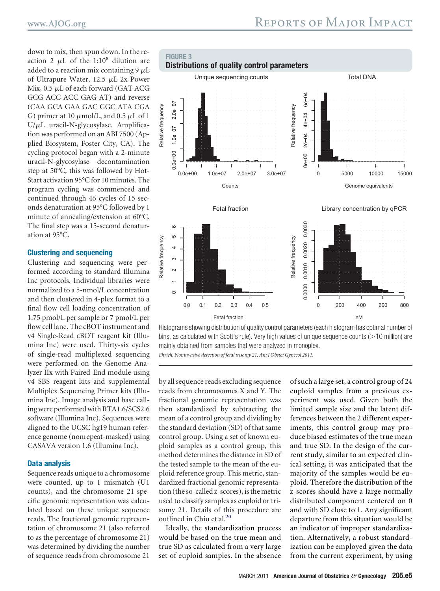<span id="page-4-0"></span>down to mix, then spun down. In the reaction 2  $\mu$ L of the 1:10<sup>8</sup> dilution are added to a reaction mix containing 9  $\mu\rm L$ of Ultrapure Water,  $12.5 \mu L$  2x Power Mix, 0.5  $\mu$ L of each forward (GAT ACG GCG ACC ACC GAG AT) and reverse (CAA GCA GAA GAC GGC ATA CGA G) primer at 10  $\mu$ mol/L, and 0.5  $\mu$ L of 1 U/ $\mu$ L uracil-N-glycosylase. Amplification was performed on an ABI 7500 (Applied Biosystem, Foster City, CA). The cycling protocol began with a 2-minute uracil-N-glycosylase decontamination step at 50°C, this was followed by Hot-Start activation 95°C for 10 minutes. The program cycling was commenced and continued through 46 cycles of 15 seconds denaturation at 95°C followed by 1 minute of annealing/extension at 60°C. The final step was a 15-second denaturation at 95°C.

#### **Clustering and sequencing**

Clustering and sequencing were performed according to standard Illumina Inc protocols. Individual libraries were normalized to a 5-nmol/L concentration and then clustered in 4-plex format to a final flow cell loading concentration of 1.75 pmol/L per sample or 7 pmol/L per flow cell lane. The cBOT instrument and v4 Single-Read cBOT reagent kit (Illumina Inc) were used. Thirty-six cycles of single-read multiplexed sequencing were performed on the Genome Analyzer IIx with Paired-End module using v4 SBS reagent kits and supplemental Multiplex Sequencing Primer kits (Illumina Inc). Image analysis and base calling were performed with RTA1.6/SCS2.6 software (Illumina Inc). Sequences were aligned to the UCSC hg19 human reference genome (nonrepeat-masked) using CASAVA version 1.6 (Illumina Inc).

#### **Data analysis**

Sequence reads unique to a chromosome were counted, up to 1 mismatch (U1 counts), and the chromosome 21-specific genomic representation was calculated based on these unique sequence reads. The fractional genomic representation of chromosome 21 (also referred to as the percentage of chromosome 21) was determined by dividing the number of sequence reads from chromosome 21



Histograms showing distribution of quality control parameters (each histogram has optimal number of bins, as calculated with Scott's rule). Very high values of unique sequence counts ( $>$ 10 million) are mainly obtained from samples that were analyzed in monoplex. *Ehrich. Noninvasive detection of fetal trisomy 21. Am J Obstet Gynecol 2011.*

by all sequence reads excluding sequence reads from chromosomes X and Y. The fractional genomic representation was then standardized by subtracting the mean of a control group and dividing by the standard deviation (SD) of that same control group. Using a set of known euploid samples as a control group, this method determines the distance in SD of the tested sample to the mean of the euploid reference group. This metric, standardized fractional genomic representation (the so-called z-scores), is the metric used to classify samples as euploid or trisomy 21. Details of this procedure are outlined in Chiu et al.<sup>20</sup>

Ideally, the standardization process would be based on the true mean and true SD as calculated from a very large set of euploid samples. In the absence

of such a large set, a control group of 24 euploid samples from a previous experiment was used. Given both the limited sample size and the latent differences between the 2 different experiments, this control group may produce biased estimates of the true mean and true SD. In the design of the current study, similar to an expected clinical setting, it was anticipated that the majority of the samples would be euploid. Therefore the distribution of the z-scores should have a large normally distributed component centered on 0 and with SD close to 1. Any significant departure from this situation would be an indicator of improper standardization. Alternatively, a robust standardization can be employed given the data from the current experiment, by using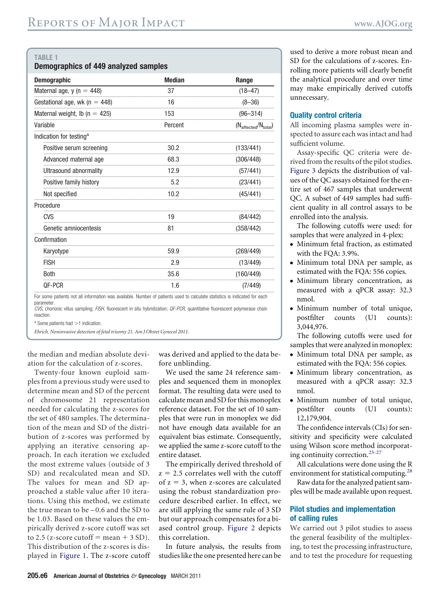#### <span id="page-5-0"></span>**TABLE 1**

| Demographics of 449 analyzed samples |  |  |  |
|--------------------------------------|--|--|--|
|--------------------------------------|--|--|--|

| <b>Demographic</b>                  | <b>Median</b> | Range                                    |
|-------------------------------------|---------------|------------------------------------------|
| Maternal age, $y(n = 448)$          | 37            | $(18 - 47)$                              |
| Gestational age, wk ( $n = 448$ )   | 16            | $(8 - 36)$                               |
| Maternal weight, lb ( $n = 425$ )   | 153           | $(96 - 314)$                             |
| Variable                            | Percent       | $(N_{\text{affected}}/N_{\text{total}})$ |
| Indication for testing <sup>a</sup> |               |                                          |
| Positive serum screening            | 30.2          | (133/441)                                |
| Advanced maternal age               | 68.3          | (306/448)                                |
| Ultrasound abnormality              | 12.9          | (57/441)                                 |
| Positive family history             | 5.2           | (23/441)                                 |
| Not specified                       | 10.2          | (45/441)                                 |
| Procedure                           |               |                                          |
| CVS                                 | 19            | (84/442)                                 |
| Genetic amniocentesis               | 81            | (358/442)                                |
| Confirmation                        |               |                                          |
| Karyotype                           | 59.9          | (269/449)                                |
| <b>FISH</b>                         | 2.9           | (13/449)                                 |
| <b>Both</b>                         | 35.6          | (160/449)                                |
| QF-PCR                              | 1.6           | (7/449)                                  |

For some patients not all information was available. Number of patients used to calculate statistics is indicated for each parameter.

*CVS*, chorionic villus sampling; *FISH*, fluorescent in situ hybridization; *QF-PCR*, quantitative fluorescent polymerase chain reaction.

 $a$  Some patients had  $>1$  indication.

*Ehrich. Noninvasive detection of fetal trisomy 21. Am J Obstet Gynecol 2011.*

the median and median absolute deviation for the calculation of z-scores.

Twenty-four known euploid samples from a previous study were used to determine mean and SD of the percent of chromosome 21 representation needed for calculating the z-scores for the set of 480 samples. The determination of the mean and SD of the distribution of z-scores was performed by applying an iterative censoring approach. In each iteration we excluded the most extreme values (outside of 3 SD) and recalculated mean and SD. The values for mean and SD approached a stable value after 10 iterations. Using this method, we estimate the true mean to be – 0.6 and the SD to be 1.03. Based on these values the empirically derived z-score cutoff was set to 2.5 (z-score cutoff  $=$  mean  $+$  3 SD). This distribution of the z-scores is displayed in [Figure 1.](#page-3-0) The z-score cutoff was derived and applied to the data before unblinding.

We used the same 24 reference samples and sequenced them in monoplex format. The resulting data were used to calculate mean and SDfor this monoplex reference dataset. For the set of 10 samples that were run in monoplex we did not have enough data available for an equivalent bias estimate. Consequently, we applied the same z-score cutoff to the entire dataset.

The empirically derived threshold of  $z = 2.5$  correlates well with the cutoff of  $z = 3$ , when z-scores are calculated using the robust standardization procedure described earlier. In effect, we are still applying the same rule of 3 SD but our approach compensates for a biased control group. [Figure 2](#page-3-0) depicts this correlation.

In future analysis, the results from studies like the one presented here can be used to derive a more robust mean and SD for the calculations of z-scores. Enrolling more patients will clearly benefit the analytical procedure and over time may make empirically derived cutoffs unnecessary.

#### **Quality control criteria**

All incoming plasma samples were inspected to assure each was intact and had sufficient volume.

Assay-specific QC criteria were derived from the results of the pilot studies. [Figure 3](#page-4-0) depicts the distribution of values of the QC assays obtained for the entire set of 467 samples that underwent QC. A subset of 449 samples had sufficient quality in all control assays to be enrolled into the analysis.

The following cutoffs were used: for samples that were analyzed in 4-plex:

- Minimum fetal fraction, as estimated with the FQA: 3.9%.
- Minimum total DNA per sample, as estimated with the FQA: 556 copies.
- Minimum library concentration, as measured with a qPCR assay: 32.3 nmol.
- Minimum number of total unique, postfilter counts (U1 counts): 3,044,976.

The following cutoffs were used for samples that were analyzed in monoplex:

- Minimum total DNA per sample, as estimated with the FQA: 556 copies.
- Minimum library concentration, as measured with a qPCR assay: 32.3 nmol.
- Minimum number of total unique, postfilter counts (U1 counts): 12,179,904.

The confidence intervals (CIs) for sensitivity and specificity were calculated using Wilson score method incorporat-ing continuity correction.<sup>[25-27](#page-10-0)</sup>

All calculations were done using the R environment for statistical computing.<sup>[28](#page-10-0)</sup>

Raw data for the analyzed patient samples will be made available upon request.

#### **Pilot studies and implementation of calling rules**

We carried out 3 pilot studies to assess the general feasibility of the multiplexing, to test the processing infrastructure, and to test the procedure for requesting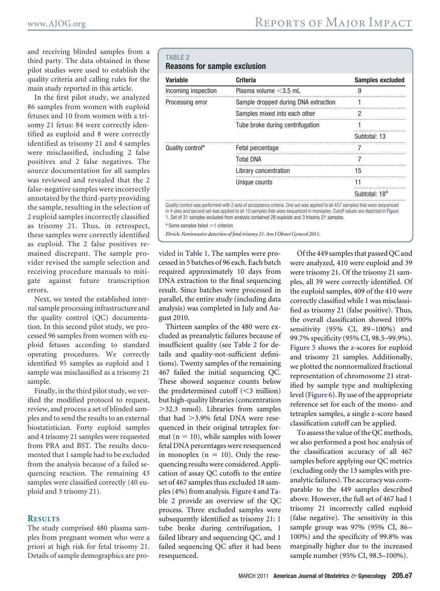<span id="page-6-0"></span>and receiving blinded samples from a third party. The data obtained in these pilot studies were used to establish the quality criteria and calling rules for the main study reported in this article.

In the first pilot study, we analyzed 86 samples from women with euploid fetuses and 10 from women with a trisomy 21 fetus: 84 were correctly identified as euploid and 8 were correctly identified as trisomy 21 and 4 samples were misclassified, including 2 false positives and 2 false negatives. The source documentation for all samples was reviewed and revealed that the 2 false-negative samples were incorrectly annotated by the third-party providing the sample, resulting in the selection of 2 euploid samples incorrectly classified as trisomy 21. Thus, in retrospect, these samples were correctly identified as euploid. The 2 false positives remained discrepant. The sample provider revised the sample selection and receiving procedure manuals to mitigate against future transcription errors.

Next, we tested the established internal sample processing infrastructure and the quality control (QC) documentation. In this second pilot study, we processed 96 samples from women with euploid fetuses according to standard operating procedures. We correctly identified 95 samples as euploid and 1 sample was misclassified as a trisomy 21 sample.

Finally, in the third pilot study, we verified the modified protocol to request, review, and process a set of blinded samples and to send the results to an external biostatistician. Forty euploid samples and 4 trisomy 21 samples were requested from PRA and BST. The results documented that 1 sample had to be excluded from the analysis because of a failed sequencing reaction. The remaining 43 samples were classified correctly (40 euploid and 3 trisomy 21).

#### **RESULTS**

The study comprised 480 plasma samples from pregnant women who were a priori at high risk for fetal trisomy 21. Details of sample demographics are pro-

#### **TABLE 2**

|  |  |  | <b>Reasons for sample exclusion</b> |
|--|--|--|-------------------------------------|
|--|--|--|-------------------------------------|

| Variable                     | <b>Criteria</b>                      | <b>Samples excluded</b>   |
|------------------------------|--------------------------------------|---------------------------|
| Incoming inspection          | Plasma volume $<$ 3.5 mL             | g                         |
| Processing error             | Sample dropped during DNA extraction |                           |
|                              | Samples mixed into each other        |                           |
|                              | Tube broke during centrifugation     |                           |
|                              |                                      | Subtotal: 13              |
| Quality control <sup>a</sup> | Fetal percentage                     |                           |
|                              | Total DNA                            |                           |
|                              | Library concentration                | 15                        |
|                              | Unique counts                        | 11                        |
|                              |                                      | Subtotal: 18 <sup>a</sup> |

in 4-plex and second set was applied to all 10 samples that were sequenced in monoplex. Cutoff values are depicted in [Figure](#page-3-0) [1.](#page-3-0) Set of 31 samples excluded from analysis contained 28 euploids and 3 trisomy 21 samples.

 $a$  Some samples failed  $>1$  criterion.

*Ehrich. Noninvasive detection of fetal trisomy 21. Am J Obstet Gynecol 2011.*

vided in [Table 1.](#page-5-0) The samples were processed in 5 batches of 96 each. Each batch required approximately 10 days from DNA extraction to the final sequencing result. Since batches were processed in parallel, the entire study (including data analysis) was completed in July and August 2010.

Thirteen samples of the 480 were excluded as preanalytic failures because of insufficient quality (see Table 2 for details and quality-not-sufficient definitions). Twenty samples of the remaining 467 failed the initial sequencing QC. These showed sequence counts below the predetermined cutoff  $(<$ 3 million) but high-quality libraries (concentration 32.3 nmol). Libraries from samples that had 3.9% fetal DNA were resequenced in their original tetraplex for $mat (n = 10)$ , while samples with lower fetal DNA percentages were resequenced in monoplex  $(n = 10)$ . Only the resequencing results were considered. Application of assay QC cutoffs to the entire set of 467 samples thus excluded 18 samples (4%) from analysis. [Figure 4](#page-7-0) and Table 2 provide an overview of the QC process. Three excluded samples were subsequently identified as trisomy 21: 1 tube broke during centrifugation, 1 failed library and sequencing QC, and 1 failed sequencing QC after it had been resequenced.

Of the 449 samples that passed QC and were analyzed, 410 were euploid and 39 were trisomy 21. Of the trisomy 21 samples, all 39 were correctly identified. Of the euploid samples, 409 of the 410 were correctly classified while 1 was misclassified as trisomy 21 (false positive). Thus, the overall classification showed 100% sensitivity (95% CI, 89-100%) and 99.7% specificity (95% CI, 98.5–99.9%). [Figure 5](#page-8-0) shows the z-scores for euploid and trisomy 21 samples. Additionally, we plotted the nonnormalized fractional representation of chromosome 21 stratified by sample type and multiplexing level [\(Figure 6\)](#page-8-0). By use of the appropriate reference set for each of the mono- and tetraplex samples, a single z-score based classification cutoff can be applied.

To assess the value of the QC methods, we also performed a post hoc analysis of the classification accuracy of all 467 samples before applying our QC metrics (excluding only the 13 samples with preanalytic failures). The accuracy was comparable to the 449 samples described above. However, the full set of 467 had 1 trisomy 21 incorrectly called euploid (false negative). The sensitivity in this sample group was 97% (95% CI, 86 – 100%) and the specificity of 99.8% was marginally higher due to the increased sample number (95% CI, 98.5–100%).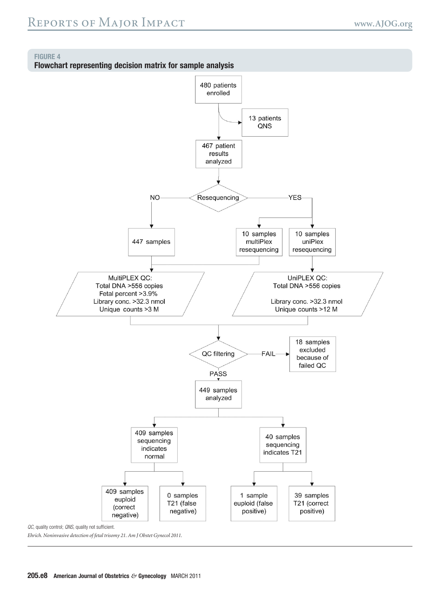#### <span id="page-7-0"></span>**FIGURE 4**

**Flowchart representing decision matrix for sample analysis**

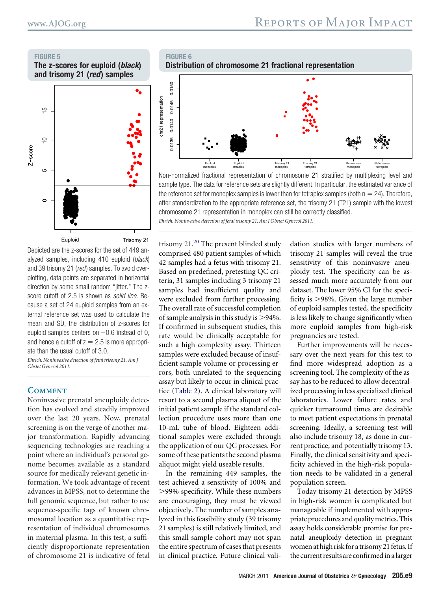<span id="page-8-0"></span>**FIGURE 5**

**The z-scores for euploid (***black***) and trisomy 21 (***red***) samples**

**FIGURE 6**



Depicted are the z-scores for the set of 449 analyzed samples, including 410 euploid (*black*) and 39 trisomy 21 (*red*) samples. To avoid overplotting, data points are separated in horizontal direction by some small random "jitter." The zscore cutoff of 2.5 is shown as *solid line*. Because a set of 24 euploid samples from an external reference set was used to calculate the mean and SD, the distribution of z-scores for euploid samples centers on  $-0.6$  instead of 0, and hence a cutoff of  $z = 2.5$  is more appropriate than the usual cutoff of 3.0.

*Ehrich. Noninvasive detection of fetal trisomy 21. Am J Obstet Gynecol 2011.*

#### **COMMENT**

Noninvasive prenatal aneuploidy detection has evolved and steadily improved over the last 20 years. Now, prenatal screening is on the verge of another major transformation. Rapidly advancing sequencing technologies are reaching a point where an individual's personal genome becomes available as a standard source for medically relevant genetic information. We took advantage of recent advances in MPSS, not to determine the full genomic sequence, but rather to use sequence-specific tags of known chromosomal location as a quantitative representation of individual chromosomes in maternal plasma. In this test, a sufficiently disproportionate representation of chromosome 21 is indicative of fetal



Non-normalized fractional representation of chromosome 21 stratified by multiplexing level and sample type. The data for reference sets are slightly different. In particular, the estimated variance of the reference set for monoplex samples is lower than for tetraplex samples (both  $n = 24$ ). Therefore, after standardization to the appropriate reference set, the trisomy 21 (T21) sample with the lowest chromosome 21 representation in monoplex can still be correctly classified. *Ehrich. Noninvasive detection of fetal trisomy 21. Am J Obstet Gynecol 2011.*

trisomy 21.<sup>[20](#page-9-0)</sup> The present blinded study comprised 480 patient samples of which 42 samples had a fetus with trisomy 21. Based on predefined, pretesting QC criteria, 31 samples including 3 trisomy 21 samples had insufficient quality and were excluded from further processing. The overall rate of successful completion of sample analysis in this study is 94%. If confirmed in subsequent studies, this rate would be clinically acceptable for such a high complexity assay. Thirteen samples were excluded because of insufficient sample volume or processing errors, both unrelated to the sequencing assay but likely to occur in clinical practice [\(Table 2\)](#page-6-0). A clinical laboratory will resort to a second plasma aliquot of the initial patient sample if the standard collection procedure uses more than one 10-mL tube of blood. Eighteen additional samples were excluded through the application of our QC processes. For some of these patients the second plasma aliquot might yield useable results.

In the remaining 449 samples, the test achieved a sensitivity of 100% and 99% specificity. While these numbers are encouraging, they must be viewed objectively. The number of samples analyzed in this feasibility study (39 trisomy 21 samples) is still relatively limited, and this small sample cohort may not span the entire spectrum of cases that presents in clinical practice. Future clinical validation studies with larger numbers of trisomy 21 samples will reveal the true sensitivity of this noninvasive aneuploidy test. The specificity can be assessed much more accurately from our dataset. The lower 95% CI for the specificity is 98%. Given the large number of euploid samples tested, the specificity is less likely to change significantly when more euploid samples from high-risk pregnancies are tested.

Further improvements will be necessary over the next years for this test to find more widespread adoption as a screening tool. The complexity of the assay has to be reduced to allow decentralized processing in less specialized clinical laboratories. Lower failure rates and quicker turnaround times are desirable to meet patient expectations in prenatal screening. Ideally, a screening test will also include trisomy 18, as done in current practice, and potentially trisomy 13. Finally, the clinical sensitivity and specificity achieved in the high-risk population needs to be validated in a general population screen.

Today trisomy 21 detection by MPSS in high-risk women is complicated but manageable if implemented with appropriate procedures and qualitymetrics. This assay holds considerable promise for prenatal aneuploidy detection in pregnant women at high risk for a trisomy 21 fetus. If the current results are confirmedin alarger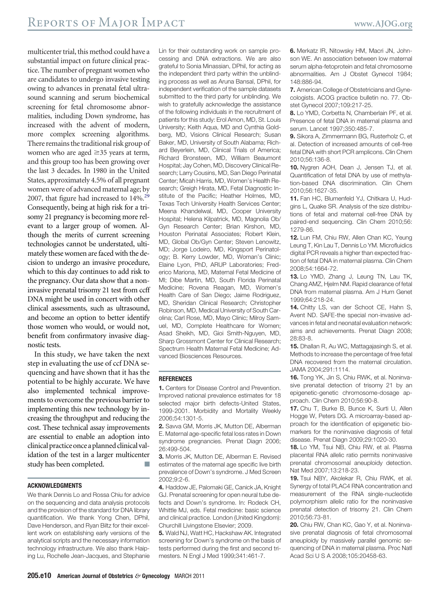<span id="page-9-0"></span>multicenter trial, this method could have a substantial impact on future clinical practice. The number of pregnant women who are candidates to undergo invasive testing owing to advances in prenatal fetal ultrasound scanning and serum biochemical screening for fetal chromosome abnormalities, including Down syndrome, has increased with the advent of modern, more complex screening algorithms. There remains the traditional risk group of women who are aged  $\geq$ 35 years at term, and this group too has been growing over the last 3 decades. In 1980 in the United States, approximately 4.5% of all pregnant women were of advanced maternal age; by 2007, that figure had increased to 14%.<sup>29</sup> Consequently, being at high risk for a trisomy 21 pregnancy is becoming more relevant to a larger group of women. Although the merits of current screening technologies cannot be understated, ultimately these women are faced with the decision to undergo an invasive procedure, which to this day continues to add risk to the pregnancy. Our data show that a noninvasive prenatal trisomy 21 test from ccff DNA might be used in concert with other clinical assessments, such as ultrasound, and become an option to better identify those women who would, or would not, benefit from confirmatory invasive diagnostic tests.

In this study, we have taken the next step in evaluating the use of ccf DNA sequencing and have shown that it has the potential to be highly accurate. We have also implemented technical improvements to overcome the previous barrier to implementing this new technology by increasing the throughput and reducing the cost. These technical assay improvements are essential to enable an adoption into clinical practice once a planned clinical validation of the test in a larger multicenter study has been completed.

#### **ACKNOWLEDGMENTS**

We thank Dennis Lo and Rossa Chiu for advice on the sequencing and data analysis protocols and the provision of the standard for DNA library quantification. We thank Yong Chen, DPhil, Dave Henderson, and Ryan Biltz for their excellent work on establishing early versions of the analytical scripts and the necessary information technology infrastructure. We also thank Haiping Lu, Rochelle Jean-Jacques, and Stephanie

Lin for their outstanding work on sample processing and DNA extractions. We are also grateful to Sonia Minassian, DPhil, for acting as the independent third party within the unblinding process as well as Aruna Bansal, DPhil, for independent verification of the sample datasets submitted to the third party for unblinding. We wish to gratefully acknowledge the assistance of the following individuals in the recruitment of patients for this study: Erol Amon, MD, St. Louis University; Keith Aqua, MD and Cynthia Goldberg, MD, Visions Clinical Research; Susan Baker, MD, University of South Alabama; Richard Beyerlein, MD, Clinical Trials of America; Richard Bronsteen, MD, William Beaumont Hospital; Jay Cohen, MD, Discovery Clinical Research; Larry Cousins, MD, San Diego Perinatal Center; Micah Harris, MD, Women's Health Research; Greigh Hirata, MD, Fetal Diagnostic Institute of the Pacific; Heather Holmes, MD, Texas Tech University Health Services Center; Meena Khandelwal, MD, Cooper University Hospital; Helena Kilpatrick, MD, Magnolia Ob/ Gyn Research Center; Brian Kirshon, MD, Houston Perinatal Associates; Robert Klein, MD, Global Ob/Gyn Center; Steven Lenowitz, MD; Jorge Lodeiro, MD, Kingsport Perinatology; B. Kerry Lowder, MD, Woman's Clinic; Elaine Lyon, PhD, ARUP Laboratories; Frederico Mariona, MD, Maternal Fetal Medicine of MI; Dibe Martin, MD, South Florida Perinatal Medicine; Rovena Reagan, MD, Women's Health Care of San Diego; Jaime Rodriguez, MD, Sheridan Clinical Research; Christopher Robinson, MD, Medical University of South Carolina; Carl Rose, MD, Mayo Clinic; Milroy Samuel, MD, Complete Healthcare for Women; Asad Sheikh, MD, Gioi Smith-Nguyen, MD, Sharp Grossmont Center for Clinical Research; Spectrum Health Maternal Fetal Medicine; Advanced Biosciences Resources.

#### **REFERENCES**

**1.** Centers for Disease Control and Prevention. Improved national prevalence estimates for 18 selected major birth defects-United States, 1999-2001. Morbidity and Mortality Weekly 2006;54:1301-5.

**2.** Savva GM, Morris JK, Mutton DE, Alberman E. Maternal age-specific fetal loss rates in Down syndrome pregnancies. Prenat Diagn 2006; 26:499-504.

**3.** Morris JK, Mutton DE, Alberman E. Revised estimates of the maternal age specific live birth prevalence of Down's syndrome. J Med Screen 2002;9:2-6.

**4.** Haddow JE, Palomaki GE, Canick JA, Knight GJ. Prenatal screening for open neural tube defects and Down's syndrome. In: Rodeck CH, Whittle MJ, eds. Fetal medicine: basic science and clinical practice. London (United Kingdom): Churchill Livingstone Elsevier; 2009.

**5.** Wald NJ, Watt HC, Hackshaw AK. Integrated screening for Down's syndrome on the basis of tests performed during the first and second trimesters. N Engl J Med 1999;341:461-7.

**6.** Merkatz IR, Nitowsky HM, Macri JN, Johnson WE. An association between low maternal serum alpha-fetoprotein and fetal chromosome abnormalities. Am J Obstet Gynecol 1984; 148:886-94.

**7.** American College of Obstetricians and Gynecologists. ACOG practice bulletin no. 77. Obstet Gynecol 2007;109:217-25.

**8.** Lo YMD, Corbetta N, Chamberlain PF, et al. Presence of fetal DNA in maternal plasma and serum. Lancet 1997;350:485-7.

**9.** Sikora A, Zimmermann BG, Rusterholz C, et al. Detection of increased amounts of cell-free fetal DNA with short PCR amplicons. Clin Chem 2010;56:136-8.

**10.** Nygren AOH, Dean J, Jensen TJ, et al. Quantification of fetal DNA by use of methylation-based DNA discrimination. Clin Chem 2010;56:1627-35.

**11.** Fan HC, Blumenfeld YJ, Chitkara U, Hudgins L, Quake SR. Analysis of the size distributions of fetal and maternal cell-free DNA by paired-end sequencing. Clin Chem 2010;56: 1279-86.

**12.** Lun FM, Chiu RW, Allen Chan KC, Yeung Leung T, Kin Lau T, Dennis Lo YM. Microfluidics digital PCR reveals a higher than expected fraction of fetal DNA in maternal plasma. Clin Chem 2008;54:1664-72.

**13.** Lo YMD, Zhang J, Leung TN, Lau TK, Chang AMZ, Hjelm NM. Rapid clearance of fetal DNA from maternal plasma. Am J Hum Genet 1999;64:218-24.

**14.** Chitty LS, van der Schoot CE, Hahn S, Avent ND. SAFE-the special non-invasive advances in fetal and neonatal evaluation network: aims and achievements. Prenat Diagn 2008; 28:83-8.

**15.** Dhallan R, Au WC, Mattagajasingh S, et al. Methods to increase the percentage of free fetal DNA recovered from the maternal circulation. JAMA 2004;291:1114.

**16.** Tong YK, Jin S, Chiu RWK, et al. Noninvasive prenatal detection of trisomy 21 by an epigenetic-genetic chromosome-dosage approach. Clin Chem 2010;56:90-8.

**17.** Chu T, Burke B, Bunce K, Surti U, Allen Hogge W, Peters DG. A microarray-based approach for the identification of epigenetic biomarkers for the noninvasive diagnosis of fetal disease. Prenat Diagn 2009;29:1020-30.

**18.** Lo YM, Tsui NB, Chiu RW, et al. Plasma placental RNA allelic ratio permits noninvasive prenatal chromosomal aneuploidy detection. Nat Med 2007;13:218-23.

**19.** Tsui NBY, Akolekar R, Chiu RWK, et al. Synergy of total PLAC4 RNA concentration and measurement of the RNA single-nucleotide polymorphism allelic ratio for the noninvasive prenatal detection of trisomy 21. Clin Chem 2010;56:73-81.

**20.** Chiu RW, Chan KC, Gao Y, et al. Noninvasive prenatal diagnosis of fetal chromosomal aneuploidy by massively parallel genomic sequencing of DNA in maternal plasma. Proc Natl Acad Sci U S A 2008;105:20458-63.